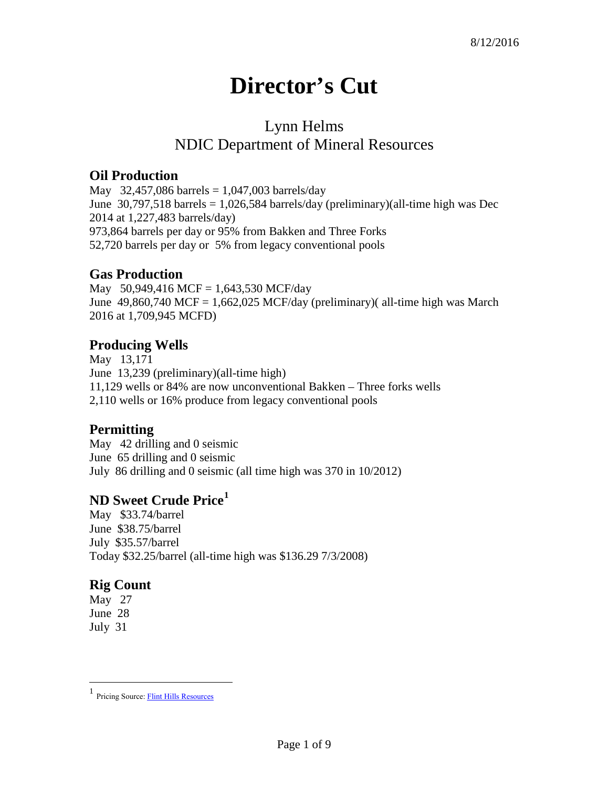# **Director's Cut**

## Lynn Helms NDIC Department of Mineral Resources

#### **Oil Production**

May 32,457,086 barrels =  $1,047,003$  barrels/day June 30,797,518 barrels = 1,026,584 barrels/day (preliminary)(all-time high was Dec 2014 at 1,227,483 barrels/day) 973,864 barrels per day or 95% from Bakken and Three Forks 52,720 barrels per day or 5% from legacy conventional pools

#### **Gas Production**

May 50,949,416 MCF = 1,643,530 MCF/day June  $49,860,740$  MCF = 1,662,025 MCF/day (preliminary)( all-time high was March 2016 at 1,709,945 MCFD)

## **Producing Wells**

May 13,171 June 13,239 (preliminary)(all-time high) 11,129 wells or 84% are now unconventional Bakken – Three forks wells 2,110 wells or 16% produce from legacy conventional pools

## **Permitting**

May 42 drilling and 0 seismic June 65 drilling and 0 seismic July 86 drilling and 0 seismic (all time high was 370 in 10/2012)

## **ND Sweet Crude Price[1](#page-0-0)**

May \$33.74/barrel June \$38.75/barrel July \$35.57/barrel Today \$32.25/barrel (all-time high was \$136.29 7/3/2008)

## **Rig Count**

May 27 June 28 July 31

 $\overline{a}$ 

<span id="page-0-0"></span><sup>1</sup> Pricing Source[: Flint Hills Resources](http://www.fhr.com/refining/bulletins.aspx?AspxAutoDetectCookieSupport=1)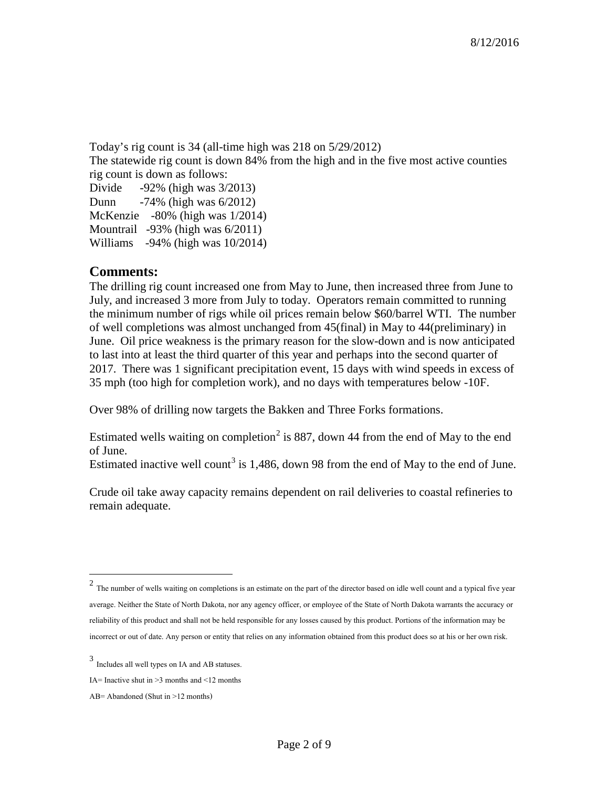Today's rig count is 34 (all-time high was 218 on 5/29/2012) The statewide rig count is down 84% from the high and in the five most active counties rig count is down as follows: Divide -92% (high was 3/2013) Dunn -74% (high was 6/2012) McKenzie -80% (high was 1/2014)

Mountrail -93% (high was 6/2011) Williams -94% (high was 10/2014)

#### **Comments:**

The drilling rig count increased one from May to June, then increased three from June to July, and increased 3 more from July to today. Operators remain committed to running the minimum number of rigs while oil prices remain below \$60/barrel WTI. The number of well completions was almost unchanged from 45(final) in May to 44(preliminary) in June. Oil price weakness is the primary reason for the slow-down and is now anticipated to last into at least the third quarter of this year and perhaps into the second quarter of 2017. There was 1 significant precipitation event, 15 days with wind speeds in excess of 35 mph (too high for completion work), and no days with temperatures below -10F.

Over 98% of drilling now targets the Bakken and Three Forks formations.

Estimated wells waiting on completion<sup>[2](#page-1-0)</sup> is 887, down 44 from the end of May to the end of June.

Estimated inactive well count<sup>[3](#page-1-1)</sup> is 1,486, down 98 from the end of May to the end of June.

Crude oil take away capacity remains dependent on rail deliveries to coastal refineries to remain adequate.

 $\overline{a}$ 

<span id="page-1-0"></span> $2$  The number of wells waiting on completions is an estimate on the part of the director based on idle well count and a typical five year average. Neither the State of North Dakota, nor any agency officer, or employee of the State of North Dakota warrants the accuracy or reliability of this product and shall not be held responsible for any losses caused by this product. Portions of the information may be incorrect or out of date. Any person or entity that relies on any information obtained from this product does so at his or her own risk.

<span id="page-1-1"></span><sup>3</sup> Includes all well types on IA and AB statuses.

IA= Inactive shut in  $\geq$ 3 months and  $\leq$ 12 months

AB= Abandoned (Shut in >12 months)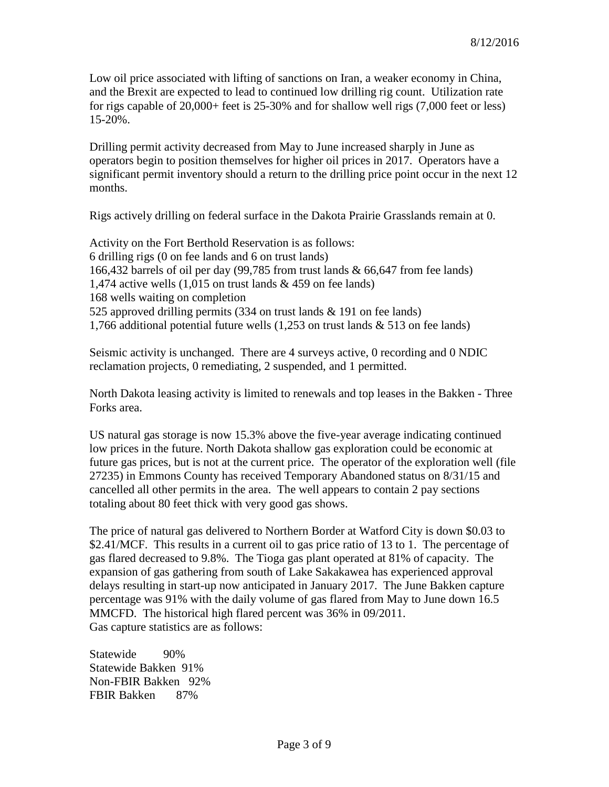Low oil price associated with lifting of sanctions on Iran, a weaker economy in China, and the Brexit are expected to lead to continued low drilling rig count. Utilization rate for rigs capable of 20,000+ feet is 25-30% and for shallow well rigs (7,000 feet or less) 15-20%.

Drilling permit activity decreased from May to June increased sharply in June as operators begin to position themselves for higher oil prices in 2017. Operators have a significant permit inventory should a return to the drilling price point occur in the next 12 months.

Rigs actively drilling on federal surface in the Dakota Prairie Grasslands remain at 0.

Activity on the Fort Berthold Reservation is as follows: 6 drilling rigs (0 on fee lands and 6 on trust lands) 166,432 barrels of oil per day (99,785 from trust lands & 66,647 from fee lands) 1,474 active wells  $(1,015)$  on trust lands & 459 on fee lands) 168 wells waiting on completion 525 approved drilling permits (334 on trust lands & 191 on fee lands) 1,766 additional potential future wells (1,253 on trust lands & 513 on fee lands)

Seismic activity is unchanged. There are 4 surveys active, 0 recording and 0 NDIC reclamation projects, 0 remediating, 2 suspended, and 1 permitted.

North Dakota leasing activity is limited to renewals and top leases in the Bakken - Three Forks area.

US natural gas storage is now 15.3% above the five-year average indicating continued low prices in the future. North Dakota shallow gas exploration could be economic at future gas prices, but is not at the current price. The operator of the exploration well (file 27235) in Emmons County has received Temporary Abandoned status on 8/31/15 and cancelled all other permits in the area. The well appears to contain 2 pay sections totaling about 80 feet thick with very good gas shows.

The price of natural gas delivered to Northern Border at Watford City is down \$0.03 to \$2.41/MCF. This results in a current oil to gas price ratio of 13 to 1. The percentage of gas flared decreased to 9.8%. The Tioga gas plant operated at 81% of capacity. The expansion of gas gathering from south of Lake Sakakawea has experienced approval delays resulting in start-up now anticipated in January 2017. The June Bakken capture percentage was 91% with the daily volume of gas flared from May to June down 16.5 MMCFD. The historical high flared percent was 36% in 09/2011. Gas capture statistics are as follows:

Statewide 90% Statewide Bakken 91% Non-FBIR Bakken 92% FBIR Bakken 87%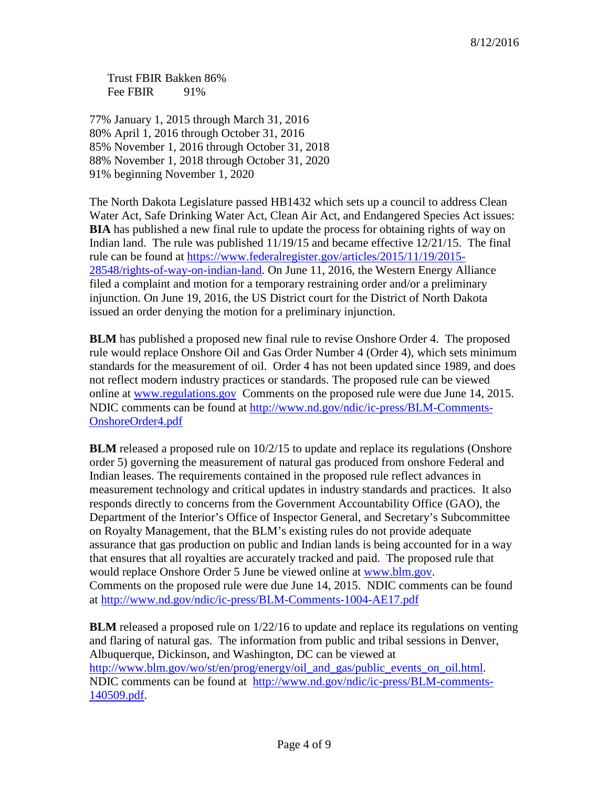Trust FBIR Bakken 86% Fee FBIR 91%

77% January 1, 2015 through March 31, 2016 80% April 1, 2016 through October 31, 2016 85% November 1, 2016 through October 31, 2018 88% November 1, 2018 through October 31, 2020 91% beginning November 1, 2020

The North Dakota Legislature passed HB1432 which sets up a council to address Clean Water Act, Safe Drinking Water Act, Clean Air Act, and Endangered Species Act issues: **BIA** has published a new final rule to update the process for obtaining rights of way on Indian land. The rule was published 11/19/15 and became effective 12/21/15. The final rule can be found at [https://www.federalregister.gov/articles/2015/11/19/2015-](https://www.federalregister.gov/articles/2015/11/19/2015-28548/rights-of-way-on-indian-land) [28548/rights-of-way-on-indian-land.](https://www.federalregister.gov/articles/2015/11/19/2015-28548/rights-of-way-on-indian-land) On June 11, 2016, the Western Energy Alliance filed a complaint and motion for a temporary restraining order and/or a preliminary injunction. On June 19, 2016, the US District court for the District of North Dakota issued an order denying the motion for a preliminary injunction.

**BLM** has published a proposed new final rule to revise Onshore Order 4. The proposed rule would replace Onshore Oil and Gas Order Number 4 (Order 4), which sets minimum standards for the measurement of oil. Order 4 has not been updated since 1989, and does not reflect modern industry practices or standards. The proposed rule can be viewed online at [www.regulations.gov](http://www.regulations.gov/) Comments on the proposed rule were due June 14, 2015. NDIC comments can be found at [http://www.nd.gov/ndic/ic-press/BLM-Comments-](http://www.nd.gov/ndic/ic-press/BLM-Comments-OnshoreOrder4.pdf)[OnshoreOrder4.pdf](http://www.nd.gov/ndic/ic-press/BLM-Comments-OnshoreOrder4.pdf)

**BLM** released a proposed rule on  $10/2/15$  to update and replace its regulations (Onshore order 5) governing the measurement of natural gas produced from onshore Federal and Indian leases. The requirements contained in the proposed rule reflect advances in measurement technology and critical updates in industry standards and practices. It also responds directly to concerns from the Government Accountability Office (GAO), the Department of the Interior's Office of Inspector General, and Secretary's Subcommittee on Royalty Management, that the BLM's existing rules do not provide adequate assurance that gas production on public and Indian lands is being accounted for in a way that ensures that all royalties are accurately tracked and paid. The proposed rule that would replace Onshore Order 5 June be viewed online at [www.blm.gov.](http://www.blm.gov/) Comments on the proposed rule were due June 14, 2015. NDIC comments can be found at<http://www.nd.gov/ndic/ic-press/BLM-Comments-1004-AE17.pdf>

**BLM** released a proposed rule on 1/22/16 to update and replace its regulations on venting and flaring of natural gas. The information from public and tribal sessions in Denver, Albuquerque, Dickinson, and Washington, DC can be viewed at [http://www.blm.gov/wo/st/en/prog/energy/oil\\_and\\_gas/public\\_events\\_on\\_oil.html.](http://www.blm.gov/wo/st/en/prog/energy/oil_and_gas/public_events_on_oil.html) NDIC comments can be found at [http://www.nd.gov/ndic/ic-press/BLM-comments-](http://www.nd.gov/ndic/ic-press/BLM-comments-140509.pdf)[140509.pdf.](http://www.nd.gov/ndic/ic-press/BLM-comments-140509.pdf)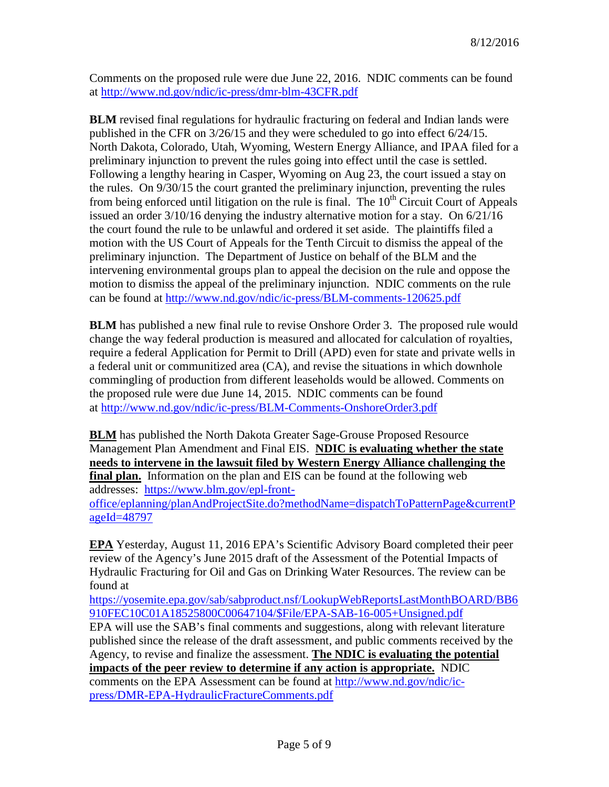Comments on the proposed rule were due June 22, 2016. NDIC comments can be found at<http://www.nd.gov/ndic/ic-press/dmr-blm-43CFR.pdf>

**BLM** revised final regulations for hydraulic fracturing on federal and Indian lands were published in the CFR on 3/26/15 and they were scheduled to go into effect 6/24/15. North Dakota, Colorado, Utah, Wyoming, Western Energy Alliance, and IPAA filed for a preliminary injunction to prevent the rules going into effect until the case is settled. Following a lengthy hearing in Casper, Wyoming on Aug 23, the court issued a stay on the rules. On 9/30/15 the court granted the preliminary injunction, preventing the rules from being enforced until litigation on the rule is final. The  $10<sup>th</sup>$  Circuit Court of Appeals issued an order  $3/10/16$  denying the industry alternative motion for a stay. On  $6/21/16$ the court found the rule to be unlawful and ordered it set aside. The plaintiffs filed a motion with the US Court of Appeals for the Tenth Circuit to dismiss the appeal of the preliminary injunction. The Department of Justice on behalf of the BLM and the intervening environmental groups plan to appeal the decision on the rule and oppose the motion to dismiss the appeal of the preliminary injunction. NDIC comments on the rule can be found at<http://www.nd.gov/ndic/ic-press/BLM-comments-120625.pdf>

**BLM** has published a new final rule to revise Onshore Order 3. The proposed rule would change the way federal production is measured and allocated for calculation of royalties, require a federal Application for Permit to Drill (APD) even for state and private wells in a federal unit or communitized area (CA), and revise the situations in which downhole commingling of production from different leaseholds would be allowed. Comments on the proposed rule were due June 14, 2015. NDIC comments can be found at <http://www.nd.gov/ndic/ic-press/BLM-Comments-OnshoreOrder3.pdf>

**BLM** has published the North Dakota Greater Sage-Grouse Proposed Resource Management Plan Amendment and Final EIS. **NDIC is evaluating whether the state needs to intervene in the lawsuit filed by Western Energy Alliance challenging the final plan.** Information on the plan and EIS can be found at the following web addresses: [https://www.blm.gov/epl-front](https://www.blm.gov/epl-front-office/eplanning/planAndProjectSite.do?methodName=dispatchToPatternPage¤tPageId=48797)[office/eplanning/planAndProjectSite.do?methodName=dispatchToPatternPage&currentP](https://www.blm.gov/epl-front-office/eplanning/planAndProjectSite.do?methodName=dispatchToPatternPage¤tPageId=48797) [ageId=48797](https://www.blm.gov/epl-front-office/eplanning/planAndProjectSite.do?methodName=dispatchToPatternPage¤tPageId=48797)

**EPA** Yesterday, August 11, 2016 EPA's Scientific Advisory Board completed their peer review of the Agency's June 2015 draft of the Assessment of the Potential Impacts of Hydraulic Fracturing for Oil and Gas on Drinking Water Resources. The review can be found at

[https://yosemite.epa.gov/sab/sabproduct.nsf/LookupWebReportsLastMonthBOARD/BB6](https://yosemite.epa.gov/sab/sabproduct.nsf/LookupWebReportsLastMonthBOARD/BB6910FEC10C01A18525800C00647104/$File/EPA-SAB-16-005+Unsigned.pdf) [910FEC10C01A18525800C00647104/\\$File/EPA-SAB-16-005+Unsigned.pdf](https://yosemite.epa.gov/sab/sabproduct.nsf/LookupWebReportsLastMonthBOARD/BB6910FEC10C01A18525800C00647104/$File/EPA-SAB-16-005+Unsigned.pdf)

EPA will use the SAB's final comments and suggestions, along with relevant literature published since the release of the draft assessment, and public comments received by the Agency, to revise and finalize the assessment. **The NDIC is evaluating the potential impacts of the peer review to determine if any action is appropriate.** NDIC comments on the EPA Assessment can be found at [http://www.nd.gov/ndic/ic](http://www.nd.gov/ndic/ic-press/DMR-EPA-HydraulicFractureComments.pdf)[press/DMR-EPA-HydraulicFractureComments.pdf](http://www.nd.gov/ndic/ic-press/DMR-EPA-HydraulicFractureComments.pdf)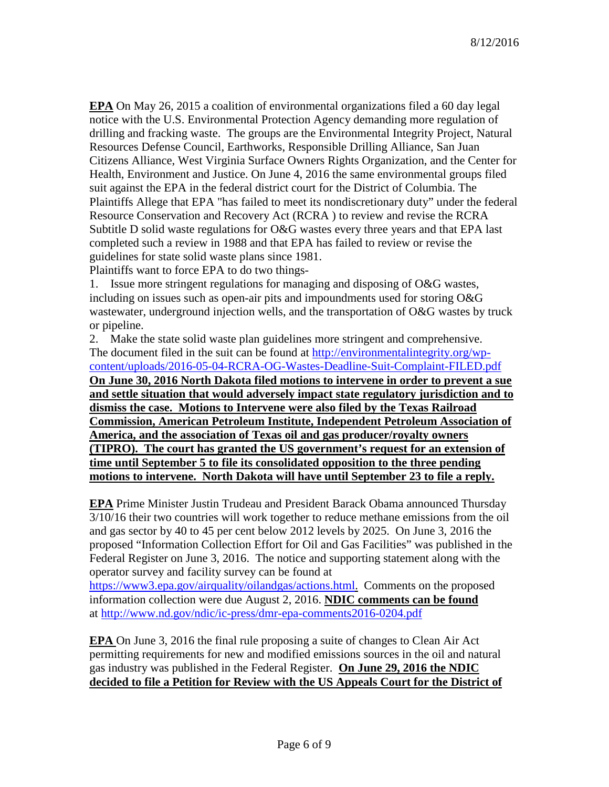**EPA** On May 26, 2015 a coalition of environmental organizations filed a 60 day legal notice with the U.S. Environmental Protection Agency demanding more regulation of drilling and fracking waste. The groups are the Environmental Integrity Project, Natural Resources Defense Council, Earthworks, Responsible Drilling Alliance, San Juan Citizens Alliance, West Virginia Surface Owners Rights Organization, and the Center for Health, Environment and Justice. On June 4, 2016 the same environmental groups filed suit against the EPA in the federal district court for the District of Columbia. The Plaintiffs Allege that EPA "has failed to meet its nondiscretionary duty" under the federal Resource Conservation and Recovery Act (RCRA ) to review and revise the RCRA Subtitle D solid waste regulations for O&G wastes every three years and that EPA last completed such a review in 1988 and that EPA has failed to review or revise the guidelines for state solid waste plans since 1981.

Plaintiffs want to force EPA to do two things-

1. Issue more stringent regulations for managing and disposing of O&G wastes, including on issues such as open-air pits and impoundments used for storing O&G wastewater, underground injection wells, and the transportation of O&G wastes by truck or pipeline.

2. Make the state solid waste plan guidelines more stringent and comprehensive. The document filed in the suit can be found at [http://environmentalintegrity.org/wp](http://environmentalintegrity.org/wp-content/uploads/2016-05-04-RCRA-OG-Wastes-Deadline-Suit-Complaint-FILED.pdf)[content/uploads/2016-05-04-RCRA-OG-Wastes-Deadline-Suit-Complaint-FILED.pdf](http://environmentalintegrity.org/wp-content/uploads/2016-05-04-RCRA-OG-Wastes-Deadline-Suit-Complaint-FILED.pdf) **On June 30, 2016 North Dakota filed motions to intervene in order to prevent a sue and settle situation that would adversely impact state regulatory jurisdiction and to dismiss the case. Motions to Intervene were also filed by the Texas Railroad Commission, American Petroleum Institute, Independent Petroleum Association of America, and the association of Texas oil and gas producer/royalty owners (TIPRO). The court has granted the US government's request for an extension of time until September 5 to file its consolidated opposition to the three pending motions to intervene. North Dakota will have until September 23 to file a reply.**

**EPA** Prime Minister Justin Trudeau and President Barack Obama announced Thursday 3/10/16 their two countries will work together to reduce methane emissions from the oil and gas sector by 40 to 45 per cent below 2012 levels by 2025. On June 3, 2016 the proposed "Information Collection Effort for Oil and Gas Facilities" was published in the Federal Register on June 3, 2016. The notice and supporting statement along with the operator survey and facility survey can be found at

[https://www3.epa.gov/airquality/oilandgas/actions.html.](https://www3.epa.gov/airquality/oilandgas/actions.html) Comments on the proposed information collection were due August 2, 2016. **NDIC comments can be found** at <http://www.nd.gov/ndic/ic-press/dmr-epa-comments2016-0204.pdf>

**EPA** On June 3, 2016 the final rule proposing a suite of changes to Clean Air Act permitting requirements for new and modified emissions sources in the oil and natural gas industry was published in the Federal Register. **On June 29, 2016 the NDIC decided to file a Petition for Review with the US Appeals Court for the District of**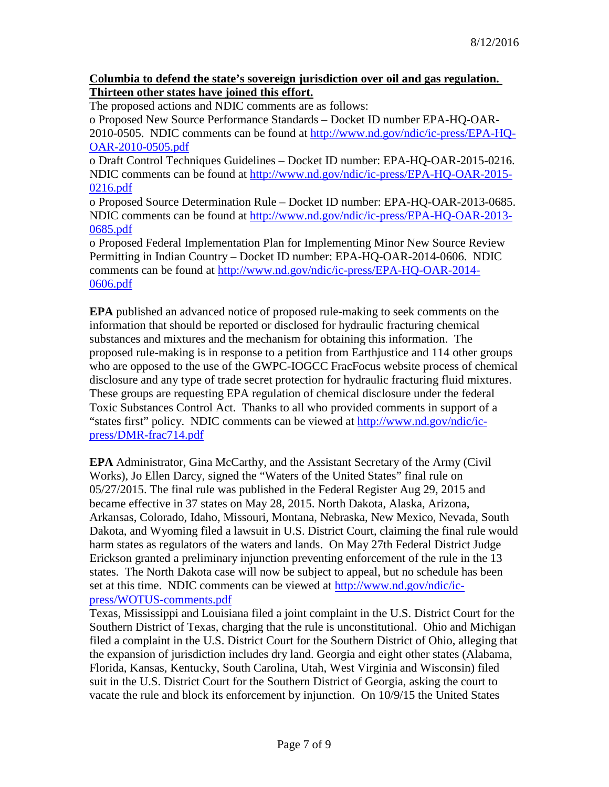#### **Columbia to defend the state's sovereign jurisdiction over oil and gas regulation. Thirteen other states have joined this effort.**

The proposed actions and NDIC comments are as follows:

o Proposed New Source Performance Standards – Docket ID number EPA-HQ-OAR-2010-0505. NDIC comments can be found at [http://www.nd.gov/ndic/ic-press/EPA-HQ-](http://www.nd.gov/ndic/ic-press/EPA-HQ-OAR-2010-0505.pdf)[OAR-2010-0505.pdf](http://www.nd.gov/ndic/ic-press/EPA-HQ-OAR-2010-0505.pdf)

o Draft Control Techniques Guidelines – Docket ID number: EPA-HQ-OAR-2015-0216. NDIC comments can be found at [http://www.nd.gov/ndic/ic-press/EPA-HQ-OAR-2015-](http://www.nd.gov/ndic/ic-press/EPA-HQ-OAR-2015-0216.pdf) [0216.pdf](http://www.nd.gov/ndic/ic-press/EPA-HQ-OAR-2015-0216.pdf)

o Proposed Source Determination Rule – Docket ID number: EPA-HQ-OAR-2013-0685. NDIC comments can be found at [http://www.nd.gov/ndic/ic-press/EPA-HQ-OAR-2013-](http://www.nd.gov/ndic/ic-press/EPA-HQ-OAR-2013-0685.pdf) [0685.pdf](http://www.nd.gov/ndic/ic-press/EPA-HQ-OAR-2013-0685.pdf)

o Proposed Federal Implementation Plan for Implementing Minor New Source Review Permitting in Indian Country – Docket ID number: EPA-HQ-OAR-2014-0606. NDIC comments can be found at [http://www.nd.gov/ndic/ic-press/EPA-HQ-OAR-2014-](http://www.nd.gov/ndic/ic-press/EPA-HQ-OAR-2014-0606.pdf) [0606.pdf](http://www.nd.gov/ndic/ic-press/EPA-HQ-OAR-2014-0606.pdf)

**EPA** published an advanced notice of proposed rule-making to seek comments on the information that should be reported or disclosed for hydraulic fracturing chemical substances and mixtures and the mechanism for obtaining this information. The proposed rule-making is in response to a petition from Earthjustice and 114 other groups who are opposed to the use of the GWPC-IOGCC FracFocus website process of chemical disclosure and any type of trade secret protection for hydraulic fracturing fluid mixtures. These groups are requesting EPA regulation of chemical disclosure under the federal Toxic Substances Control Act. Thanks to all who provided comments in support of a "states first" policy. NDIC comments can be viewed at [http://www.nd.gov/ndic/ic](http://www.nd.gov/ndic/ic-press/DMR-frac714.pdf)[press/DMR-frac714.pdf](http://www.nd.gov/ndic/ic-press/DMR-frac714.pdf)

**EPA** Administrator, Gina McCarthy, and the Assistant Secretary of the Army (Civil Works), Jo Ellen Darcy, signed the "Waters of the United States" final rule on 05/27/2015. The final rule was published in the Federal Register Aug 29, 2015 and became effective in 37 states on May 28, 2015. North Dakota, Alaska, Arizona, Arkansas, Colorado, Idaho, Missouri, Montana, Nebraska, New Mexico, Nevada, South Dakota, and Wyoming filed a lawsuit in U.S. District Court, claiming the final rule would harm states as regulators of the waters and lands. On May 27th Federal District Judge Erickson granted a preliminary injunction preventing enforcement of the rule in the 13 states. The North Dakota case will now be subject to appeal, but no schedule has been set at this time. NDIC comments can be viewed at [http://www.nd.gov/ndic/ic](http://www.nd.gov/ndic/ic-press/WOTUS-comments.pdf)[press/WOTUS-comments.pdf](http://www.nd.gov/ndic/ic-press/WOTUS-comments.pdf)

Texas, Mississippi and Louisiana filed a joint complaint in the U.S. District Court for the Southern District of Texas, charging that the rule is unconstitutional. Ohio and Michigan filed a complaint in the U.S. District Court for the Southern District of Ohio, alleging that the expansion of jurisdiction includes dry land. Georgia and eight other states (Alabama, Florida, Kansas, Kentucky, South Carolina, Utah, West Virginia and Wisconsin) filed suit in the U.S. District Court for the Southern District of Georgia, asking the court to vacate the rule and block its enforcement by injunction. On 10/9/15 the United States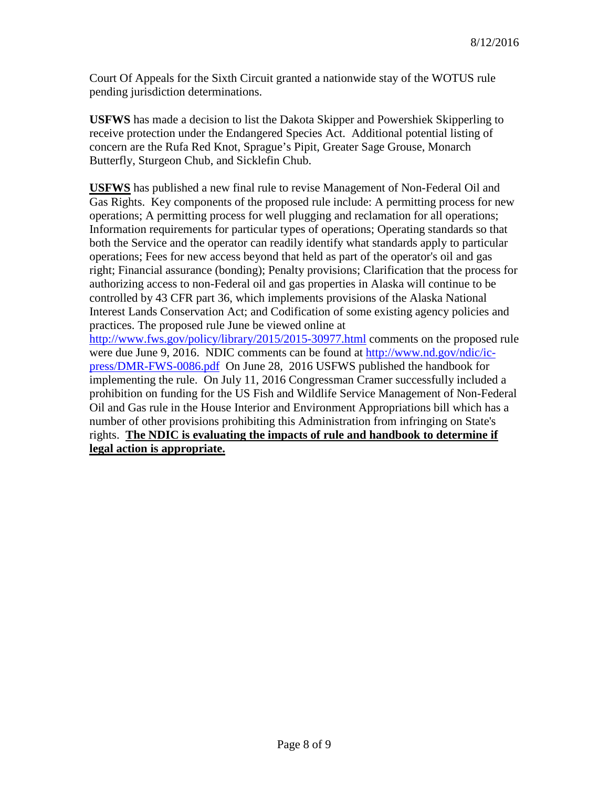Court Of Appeals for the Sixth Circuit granted a nationwide stay of the WOTUS rule pending jurisdiction determinations.

**USFWS** has made a decision to list the Dakota Skipper and Powershiek Skipperling to receive protection under the Endangered Species Act. Additional potential listing of concern are the Rufa Red Knot, Sprague's Pipit, Greater Sage Grouse, Monarch Butterfly, Sturgeon Chub, and Sicklefin Chub.

**USFWS** has published a new final rule to revise Management of Non-Federal Oil and Gas Rights. Key components of the proposed rule include: A permitting process for new operations; A permitting process for well plugging and reclamation for all operations; Information requirements for particular types of operations; Operating standards so that both the Service and the operator can readily identify what standards apply to particular operations; Fees for new access beyond that held as part of the operator's oil and gas right; Financial assurance (bonding); Penalty provisions; Clarification that the process for authorizing access to non-Federal oil and gas properties in Alaska will continue to be controlled by 43 CFR part 36, which implements provisions of the Alaska National Interest Lands Conservation Act; and Codification of some existing agency policies and practices. The proposed rule June be viewed online at <http://www.fws.gov/policy/library/2015/2015-30977.html> comments on the proposed rule

were due June 9, 2016. NDIC comments can be found at [http://www.nd.gov/ndic/ic](http://www.nd.gov/ndic/ic-press/DMR-FWS-0086.pdf)[press/DMR-FWS-0086.pdf](http://www.nd.gov/ndic/ic-press/DMR-FWS-0086.pdf) On June 28, 2016 USFWS published the handbook for implementing the rule. On July 11, 2016 Congressman Cramer successfully included a prohibition on funding for the US Fish and Wildlife Service Management of Non-Federal Oil and Gas rule in the House Interior and Environment Appropriations bill which has a number of other provisions prohibiting this Administration from infringing on State's rights. **The NDIC is evaluating the impacts of rule and handbook to determine if legal action is appropriate.**